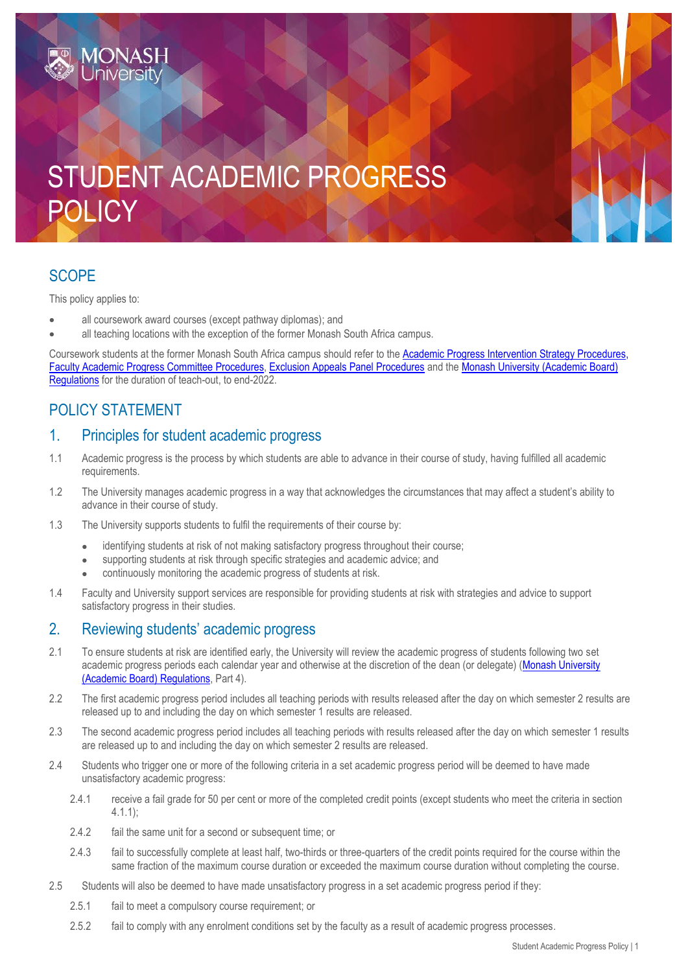# STUDENT ACADEMIC PROGRESS POLICY

# **SCOPE**

This policy applies to:

- all coursework award courses (except pathway diplomas); and
- all teaching locations with the exception of the former Monash South Africa campus.

Coursework students at the former Monash South Africa campus should refer to the Academic Progress Intervention Strategy Procedures. [Faculty Academic Progress Committee](https://publicpolicydms.monash.edu/Monash/documents/1934256) Procedures, [Exclusion Appeals Panel Procedures](https://publicpolicydms.monash.edu/Monash/documents/1934255) and th[e Monash University \(Academic Board\)](https://www.monash.edu/legal/legislation/current-statute-regulations-and-related-resolutions)  [Regulations](https://www.monash.edu/legal/legislation/current-statute-regulations-and-related-resolutions) for the duration of teach-out, to end-2022.

# POLICY STATEMENT

## 1. Principles for student academic progress

- 1.1 Academic progress is the process by which students are able to advance in their course of study, having fulfilled all academic requirements.
- 1.2 The University manages academic progress in a way that acknowledges the circumstances that may affect a student's ability to advance in their course of study.
- 1.3 The University supports students to fulfil the requirements of their course by:
	- identifying students at risk of not making satisfactory progress throughout their course;
	- supporting students at risk through specific strategies and academic advice; and
		- continuously monitoring the academic progress of students at risk.
- 1.4 Faculty and University support services are responsible for providing students at risk with strategies and advice to support satisfactory progress in their studies.

## 2. Reviewing students' academic progress

- 2.1 To ensure students at risk are identified early, the University will review the academic progress of students following two set academic progress periods each calendar year and otherwise at the discretion of the dean (or delegate) [\(Monash University](https://www.monash.edu/legal/legislation/current-statute-regulations-and-related-resolutions)  [\(Academic Board\) Regulations,](https://www.monash.edu/legal/legislation/current-statute-regulations-and-related-resolutions) Part 4).
- 2.2 The first academic progress period includes all teaching periods with results released after the day on which semester 2 results are released up to and including the day on which semester 1 results are released.
- 2.3 The second academic progress period includes all teaching periods with results released after the day on which semester 1 results are released up to and including the day on which semester 2 results are released.
- 2.4 Students who trigger one or more of the following criteria in a set academic progress period will be deemed to have made unsatisfactory academic progress:
	- 2.4.1 receive a fail grade for 50 per cent or more of the completed credit points (except students who meet the criteria in section 4.1.1);
	- 2.4.2 fail the same unit for a second or subsequent time; or
	- 2.4.3 fail to successfully complete at least half, two-thirds or three-quarters of the credit points required for the course within the same fraction of the maximum course duration or exceeded the maximum course duration without completing the course.
- 2.5 Students will also be deemed to have made unsatisfactory progress in a set academic progress period if they:
	- 2.5.1 fail to meet a compulsory course requirement; or
	- 2.5.2 fail to comply with any enrolment conditions set by the faculty as a result of academic progress processes.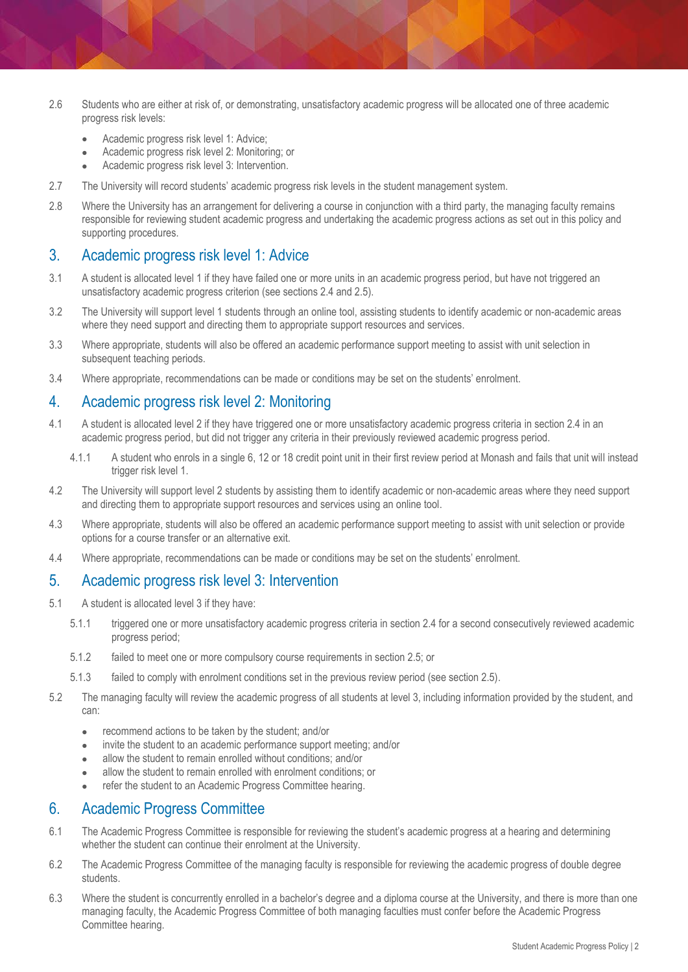- 2.6 Students who are either at risk of, or demonstrating, unsatisfactory academic progress will be allocated one of three academic progress risk levels:
	- Academic progress risk level 1: Advice;
	- Academic progress risk level 2: Monitoring; or
	- Academic progress risk level 3: Intervention.
- 2.7 The University will record students' academic progress risk levels in the student management system.
- 2.8 Where the University has an arrangement for delivering a course in conjunction with a third party, the managing faculty remains responsible for reviewing student academic progress and undertaking the academic progress actions as set out in this policy and supporting procedures.

#### 3. Academic progress risk level 1: Advice

- 3.1 A student is allocated level 1 if they have failed one or more units in an academic progress period, but have not triggered an unsatisfactory academic progress criterion (see sections 2.4 and 2.5).
- 3.2 The University will support level 1 students through an online tool, assisting students to identify academic or non-academic areas where they need support and directing them to appropriate support resources and services.
- 3.3 Where appropriate, students will also be offered an academic performance support meeting to assist with unit selection in subsequent teaching periods.
- 3.4 Where appropriate, recommendations can be made or conditions may be set on the students' enrolment.

#### 4. Academic progress risk level 2: Monitoring

- 4.1 A student is allocated level 2 if they have triggered one or more unsatisfactory academic progress criteria in section 2.4 in an academic progress period, but did not trigger any criteria in their previously reviewed academic progress period.
	- 4.1.1 A student who enrols in a single 6, 12 or 18 credit point unit in their first review period at Monash and fails that unit will instead trigger risk level 1.
- 4.2 The University will support level 2 students by assisting them to identify academic or non-academic areas where they need support and directing them to appropriate support resources and services using an online tool.
- 4.3 Where appropriate, students will also be offered an academic performance support meeting to assist with unit selection or provide options for a course transfer or an alternative exit.
- 4.4 Where appropriate, recommendations can be made or conditions may be set on the students' enrolment.

#### 5. Academic progress risk level 3: Intervention

- 5.1 A student is allocated level 3 if they have:
	- 5.1.1 triggered one or more unsatisfactory academic progress criteria in section 2.4 for a second consecutively reviewed academic progress period;
	- 5.1.2 failed to meet one or more compulsory course requirements in section 2.5; or
	- 5.1.3 failed to comply with enrolment conditions set in the previous review period (see section 2.5).
- 5.2 The managing faculty will review the academic progress of all students at level 3, including information provided by the student, and can:
	- recommend actions to be taken by the student; and/or
	- invite the student to an academic performance support meeting; and/or
	- allow the student to remain enrolled without conditions; and/or
	- allow the student to remain enrolled with enrolment conditions; or
	- refer the student to an Academic Progress Committee hearing.

#### 6. Academic Progress Committee

- 6.1 The Academic Progress Committee is responsible for reviewing the student's academic progress at a hearing and determining whether the student can continue their enrolment at the University.
- 6.2 The Academic Progress Committee of the managing faculty is responsible for reviewing the academic progress of double degree students.
- 6.3 Where the student is concurrently enrolled in a bachelor's degree and a diploma course at the University, and there is more than one managing faculty, the Academic Progress Committee of both managing faculties must confer before the Academic Progress Committee hearing.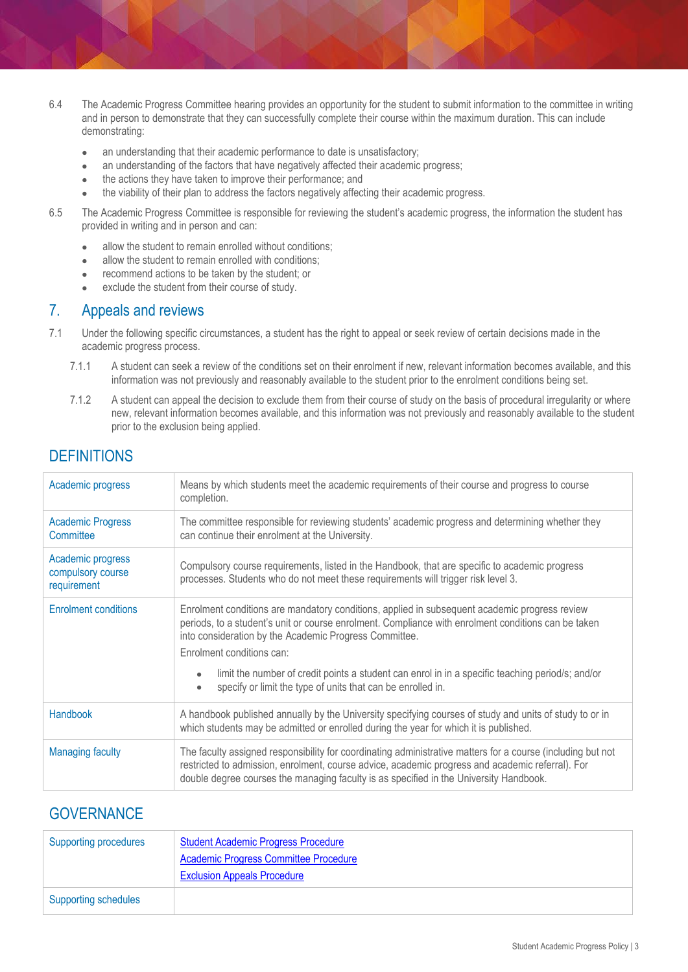- 6.4 The Academic Progress Committee hearing provides an opportunity for the student to submit information to the committee in writing and in person to demonstrate that they can successfully complete their course within the maximum duration. This can include demonstrating:
	- an understanding that their academic performance to date is unsatisfactory;
	- an understanding of the factors that have negatively affected their academic progress;
	- the actions they have taken to improve their performance; and
	- the viability of their plan to address the factors negatively affecting their academic progress.
- 6.5 The Academic Progress Committee is responsible for reviewing the student's academic progress, the information the student has provided in writing and in person and can:
	- allow the student to remain enrolled without conditions;
	- allow the student to remain enrolled with conditions;
	- recommend actions to be taken by the student; or
	- exclude the student from their course of study.

#### 7. Appeals and reviews

- 7.1 Under the following specific circumstances, a student has the right to appeal or seek review of certain decisions made in the academic progress process.
	- 7.1.1 A student can seek a review of the conditions set on their enrolment if new, relevant information becomes available, and this information was not previously and reasonably available to the student prior to the enrolment conditions being set.
	- 7.1.2 A student can appeal the decision to exclude them from their course of study on the basis of procedural irregularity or where new, relevant information becomes available, and this information was not previously and reasonably available to the student prior to the exclusion being applied.

## **DEFINITIONS**

| Academic progress                                     | Means by which students meet the academic requirements of their course and progress to course<br>completion.                                                                                                                                                                                              |
|-------------------------------------------------------|-----------------------------------------------------------------------------------------------------------------------------------------------------------------------------------------------------------------------------------------------------------------------------------------------------------|
| <b>Academic Progress</b><br>Committee                 | The committee responsible for reviewing students' academic progress and determining whether they<br>can continue their enrolment at the University.                                                                                                                                                       |
| Academic progress<br>compulsory course<br>requirement | Compulsory course requirements, listed in the Handbook, that are specific to academic progress<br>processes. Students who do not meet these requirements will trigger risk level 3.                                                                                                                       |
| <b>Enrolment conditions</b>                           | Enrolment conditions are mandatory conditions, applied in subsequent academic progress review<br>periods, to a student's unit or course enrolment. Compliance with enrolment conditions can be taken<br>into consideration by the Academic Progress Committee.<br>Enrolment conditions can:               |
|                                                       | limit the number of credit points a student can enrol in in a specific teaching period/s; and/or<br>specify or limit the type of units that can be enrolled in.<br>$\bullet$                                                                                                                              |
| Handbook                                              | A handbook published annually by the University specifying courses of study and units of study to or in<br>which students may be admitted or enrolled during the year for which it is published.                                                                                                          |
| <b>Managing faculty</b>                               | The faculty assigned responsibility for coordinating administrative matters for a course (including but not<br>restricted to admission, enrolment, course advice, academic progress and academic referral). For<br>double degree courses the managing faculty is as specified in the University Handbook. |

### **GOVERNANCE**

| Supporting procedures       | <b>Student Academic Progress Procedure</b><br><b>Academic Progress Committee Procedure</b><br><b>Exclusion Appeals Procedure</b> |
|-----------------------------|----------------------------------------------------------------------------------------------------------------------------------|
| <b>Supporting schedules</b> |                                                                                                                                  |